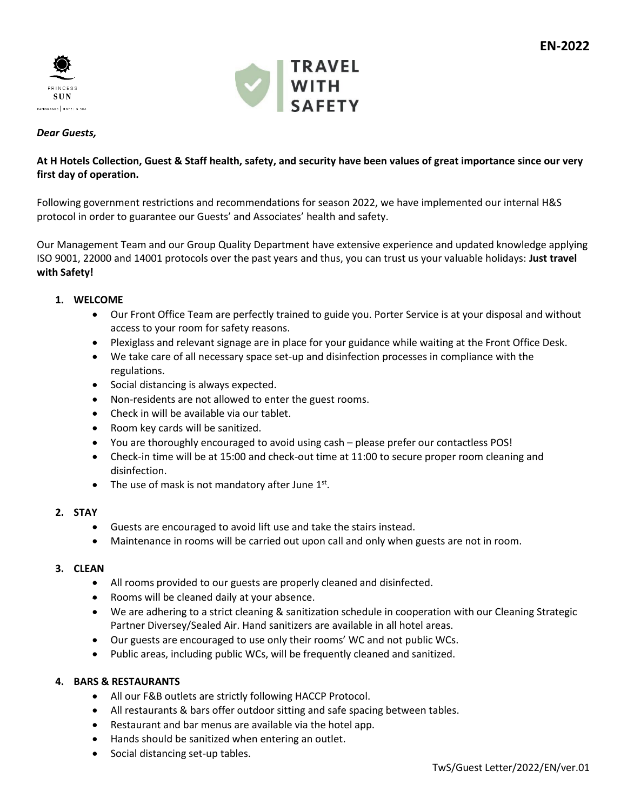



### *Dear Guests,*

# **At H Hotels Collection, Guest & Staff health, safety, and security have been values of great importance since our very first day of operation.**

Following government restrictions and recommendations for season 2022, we have implemented our internal H&S protocol in order to guarantee our Guests' and Associates' health and safety.

Our Management Team and our Group Quality Department have extensive experience and updated knowledge applying ISO 9001, 22000 and 14001 protocols over the past years and thus, you can trust us your valuable holidays: **Just travel with Safety!**

### **1. WELCOME**

- Our Front Office Team are perfectly trained to guide you. Porter Service is at your disposal and without access to your room for safety reasons.
- Plexiglass and relevant signage are in place for your guidance while waiting at the Front Office Desk.
- We take care of all necessary space set-up and disinfection processes in compliance with the regulations.
- Social distancing is always expected.
- Non-residents are not allowed to enter the guest rooms.
- Check in will be available via our tablet.
- Room key cards will be sanitized.
- You are thoroughly encouraged to avoid using cash please prefer our contactless POS!
- Check-in time will be at 15:00 and check-out time at 11:00 to secure proper room cleaning and disinfection.
- The use of mask is not mandatory after June  $1<sup>st</sup>$ .

### **2. STAY**

- Guests are encouraged to avoid lift use and take the stairs instead.
- Maintenance in rooms will be carried out upon call and only when guests are not in room.

### **3. CLEAN**

- All rooms provided to our guests are properly cleaned and disinfected.
- Rooms will be cleaned daily at your absence.
- We are adhering to a strict cleaning & sanitization schedule in cooperation with our Cleaning Strategic Partner Diversey/Sealed Air. Hand sanitizers are available in all hotel areas.
- Our guests are encouraged to use only their rooms' WC and not public WCs.
- Public areas, including public WCs, will be frequently cleaned and sanitized.

### **4. BARS & RESTAURANTS**

- All our F&B outlets are strictly following HACCP Protocol.
- All restaurants & bars offer outdoor sitting and safe spacing between tables.
- Restaurant and bar menus are available via the hotel app.
- Hands should be sanitized when entering an outlet.
- Social distancing set-up tables.